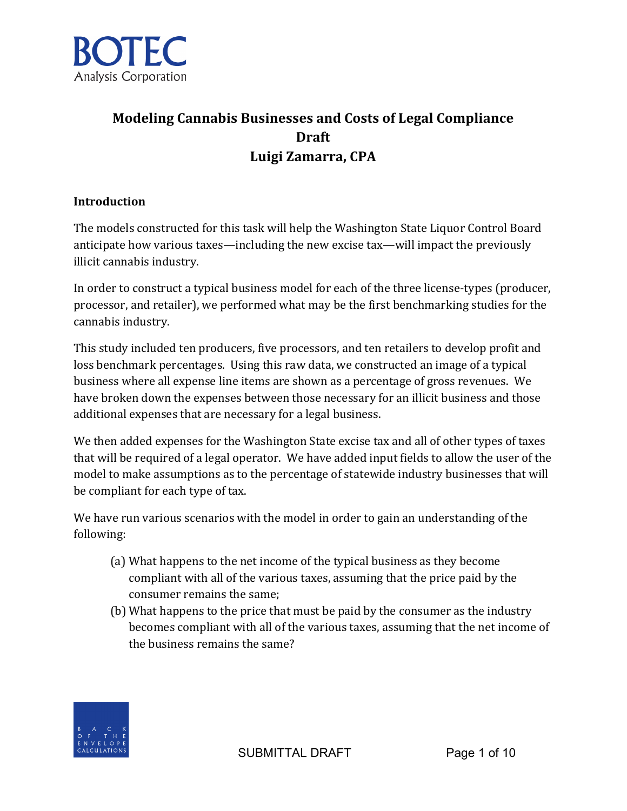

# **Modeling Cannabis Businesses and Costs of Legal Compliance Draft Luigi Zamarra, CPA**

#### **Introduction**

The models constructed for this task will help the Washington State Liquor Control Board anticipate how various taxes—including the new excise tax—will impact the previously illicit cannabis industry.

In order to construct a typical business model for each of the three license-types (producer, processor, and retailer), we performed what may be the first benchmarking studies for the cannabis industry.

This study included ten producers, five processors, and ten retailers to develop profit and loss benchmark percentages. Using this raw data, we constructed an image of a typical business where all expense line items are shown as a percentage of gross revenues. We have broken down the expenses between those necessary for an illicit business and those additional expenses that are necessary for a legal business.

We then added expenses for the Washington State excise tax and all of other types of taxes that will be required of a legal operator. We have added input fields to allow the user of the model to make assumptions as to the percentage of statewide industry businesses that will be compliant for each type of tax.

We have run various scenarios with the model in order to gain an understanding of the following: 

- (a) What happens to the net income of the typical business as they become compliant with all of the various taxes, assuming that the price paid by the consumer remains the same;
- (b) What happens to the price that must be paid by the consumer as the industry becomes compliant with all of the various taxes, assuming that the net income of the business remains the same?

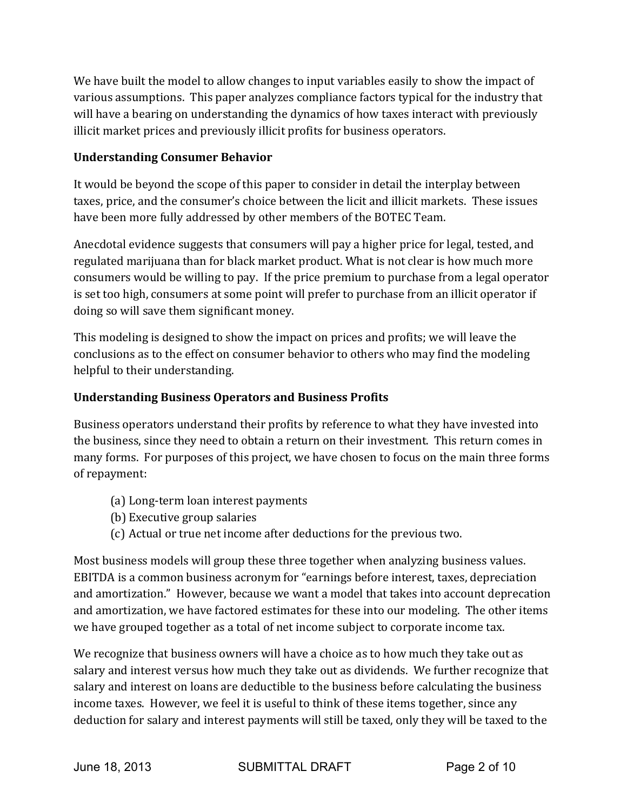We have built the model to allow changes to input variables easily to show the impact of various assumptions. This paper analyzes compliance factors typical for the industry that will have a bearing on understanding the dynamics of how taxes interact with previously illicit market prices and previously illicit profits for business operators.

### **Understanding Consumer Behavior**

It would be beyond the scope of this paper to consider in detail the interplay between taxes, price, and the consumer's choice between the licit and illicit markets. These issues have been more fully addressed by other members of the BOTEC Team.

Anecdotal evidence suggests that consumers will pay a higher price for legal, tested, and regulated marijuana than for black market product. What is not clear is how much more consumers would be willing to pay. If the price premium to purchase from a legal operator is set too high, consumers at some point will prefer to purchase from an illicit operator if doing so will save them significant money.

This modeling is designed to show the impact on prices and profits; we will leave the conclusions as to the effect on consumer behavior to others who may find the modeling helpful to their understanding.

# **Understanding Business Operators and Business Profits**

Business operators understand their profits by reference to what they have invested into the business, since they need to obtain a return on their investment. This return comes in many forms. For purposes of this project, we have chosen to focus on the main three forms of repayment:

- (a) Long-term loan interest payments
- (b) Executive group salaries
- (c) Actual or true net income after deductions for the previous two.

Most business models will group these three together when analyzing business values. EBITDA is a common business acronym for "earnings before interest, taxes, depreciation and amortization." However, because we want a model that takes into account deprecation and amortization, we have factored estimates for these into our modeling. The other items we have grouped together as a total of net income subject to corporate income tax.

We recognize that business owners will have a choice as to how much they take out as salary and interest versus how much they take out as dividends. We further recognize that salary and interest on loans are deductible to the business before calculating the business income taxes. However, we feel it is useful to think of these items together, since any deduction for salary and interest payments will still be taxed, only they will be taxed to the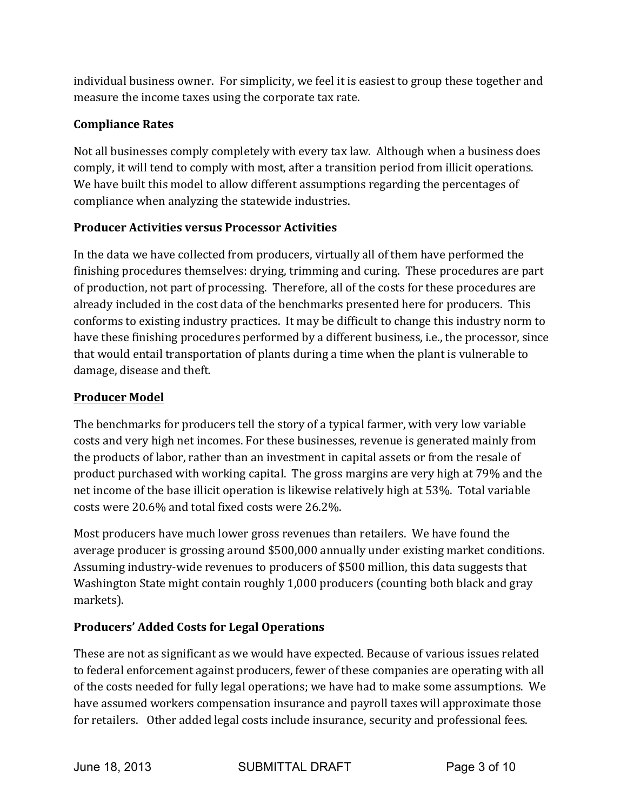individual business owner. For simplicity, we feel it is easiest to group these together and measure the income taxes using the corporate tax rate.

### **Compliance Rates**

Not all businesses comply completely with every tax law. Although when a business does comply, it will tend to comply with most, after a transition period from illicit operations. We have built this model to allow different assumptions regarding the percentages of compliance when analyzing the statewide industries.

# **Producer Activities versus Processor Activities**

In the data we have collected from producers, virtually all of them have performed the finishing procedures themselves: drying, trimming and curing. These procedures are part of production, not part of processing. Therefore, all of the costs for these procedures are already included in the cost data of the benchmarks presented here for producers. This conforms to existing industry practices. It may be difficult to change this industry norm to have these finishing procedures performed by a different business, i.e., the processor, since that would entail transportation of plants during a time when the plant is vulnerable to damage, disease and theft.

### **Producer Model**

The benchmarks for producers tell the story of a typical farmer, with very low variable costs and very high net incomes. For these businesses, revenue is generated mainly from the products of labor, rather than an investment in capital assets or from the resale of product purchased with working capital. The gross margins are very high at 79% and the net income of the base illicit operation is likewise relatively high at 53%. Total variable costs were 20.6% and total fixed costs were 26.2%.

Most producers have much lower gross revenues than retailers. We have found the average producer is grossing around \$500,000 annually under existing market conditions. Assuming industry-wide revenues to producers of \$500 million, this data suggests that Washington State might contain roughly 1,000 producers (counting both black and gray markets).

# **Producers' Added Costs for Legal Operations**

These are not as significant as we would have expected. Because of various issues related to federal enforcement against producers, fewer of these companies are operating with all of the costs needed for fully legal operations; we have had to make some assumptions. We have assumed workers compensation insurance and payroll taxes will approximate those for retailers. Other added legal costs include insurance, security and professional fees.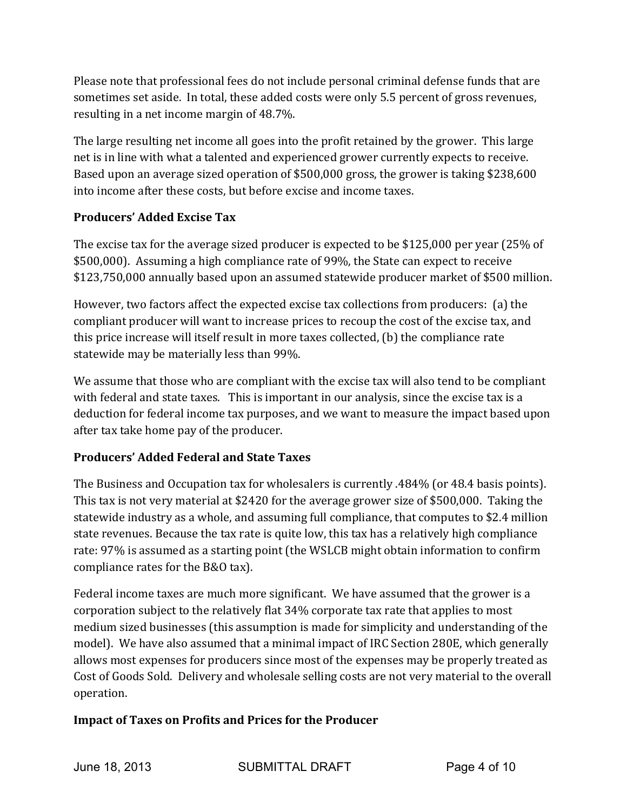Please note that professional fees do not include personal criminal defense funds that are sometimes set aside. In total, these added costs were only 5.5 percent of gross revenues, resulting in a net income margin of  $48.7\%$ .

The large resulting net income all goes into the profit retained by the grower. This large net is in line with what a talented and experienced grower currently expects to receive. Based upon an average sized operation of \$500,000 gross, the grower is taking \$238,600 into income after these costs, but before excise and income taxes.

### **Producers' Added Excise Tax**

The excise tax for the average sized producer is expected to be \$125,000 per year (25% of \$500,000). Assuming a high compliance rate of 99%, the State can expect to receive \$123,750,000 annually based upon an assumed statewide producer market of \$500 million.

However, two factors affect the expected excise tax collections from producers: (a) the compliant producer will want to increase prices to recoup the cost of the excise tax, and this price increase will itself result in more taxes collected, (b) the compliance rate statewide may be materially less than 99%.

We assume that those who are compliant with the excise tax will also tend to be compliant with federal and state taxes. This is important in our analysis, since the excise tax is a deduction for federal income tax purposes, and we want to measure the impact based upon after tax take home pay of the producer.

# **Producers' Added Federal and State Taxes**

The Business and Occupation tax for wholesalers is currently .484% (or 48.4 basis points). This tax is not very material at \$2420 for the average grower size of \$500,000. Taking the statewide industry as a whole, and assuming full compliance, that computes to \$2.4 million state revenues. Because the tax rate is quite low, this tax has a relatively high compliance rate: 97% is assumed as a starting point (the WSLCB might obtain information to confirm compliance rates for the B&O tax).

Federal income taxes are much more significant. We have assumed that the grower is a corporation subject to the relatively flat 34% corporate tax rate that applies to most medium sized businesses (this assumption is made for simplicity and understanding of the model). We have also assumed that a minimal impact of IRC Section 280E, which generally allows most expenses for producers since most of the expenses may be properly treated as Cost of Goods Sold. Delivery and wholesale selling costs are not very material to the overall operation. 

# **Impact of Taxes on Profits and Prices for the Producer**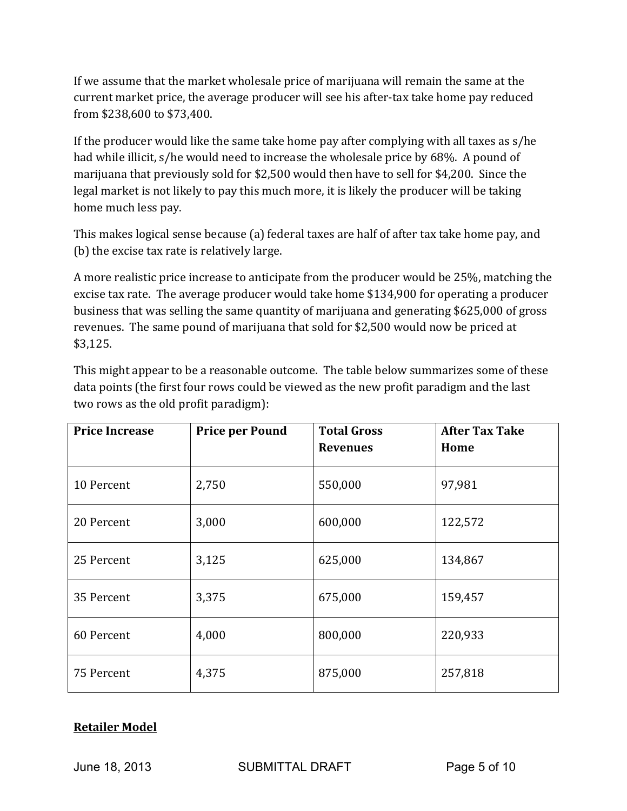If we assume that the market wholesale price of marijuana will remain the same at the current market price, the average producer will see his after-tax take home pay reduced from \$238,600 to \$73,400. 

If the producer would like the same take home pay after complying with all taxes as  $s/he$ had while illicit, s/he would need to increase the wholesale price by 68%. A pound of marijuana that previously sold for \$2,500 would then have to sell for \$4,200. Since the legal market is not likely to pay this much more, it is likely the producer will be taking home much less pay.

This makes logical sense because (a) federal taxes are half of after tax take home pay, and (b) the excise tax rate is relatively large.

A more realistic price increase to anticipate from the producer would be 25%, matching the excise tax rate. The average producer would take home \$134,900 for operating a producer business that was selling the same quantity of marijuana and generating \$625,000 of gross revenues. The same pound of marijuana that sold for \$2,500 would now be priced at \$3,125.

This might appear to be a reasonable outcome. The table below summarizes some of these data points (the first four rows could be viewed as the new profit paradigm and the last two rows as the old profit paradigm):

| <b>Price Increase</b> | <b>Price per Pound</b> | <b>Total Gross</b><br><b>Revenues</b> | <b>After Tax Take</b><br>Home |
|-----------------------|------------------------|---------------------------------------|-------------------------------|
| 10 Percent            | 2,750                  | 550,000                               | 97,981                        |
| 20 Percent            | 3,000                  | 600,000                               | 122,572                       |
| 25 Percent            | 3,125                  | 625,000                               | 134,867                       |
| 35 Percent            | 3,375                  | 675,000                               | 159,457                       |
| 60 Percent            | 4,000                  | 800,000                               | 220,933                       |
| 75 Percent            | 4,375                  | 875,000                               | 257,818                       |

#### **Retailer Model**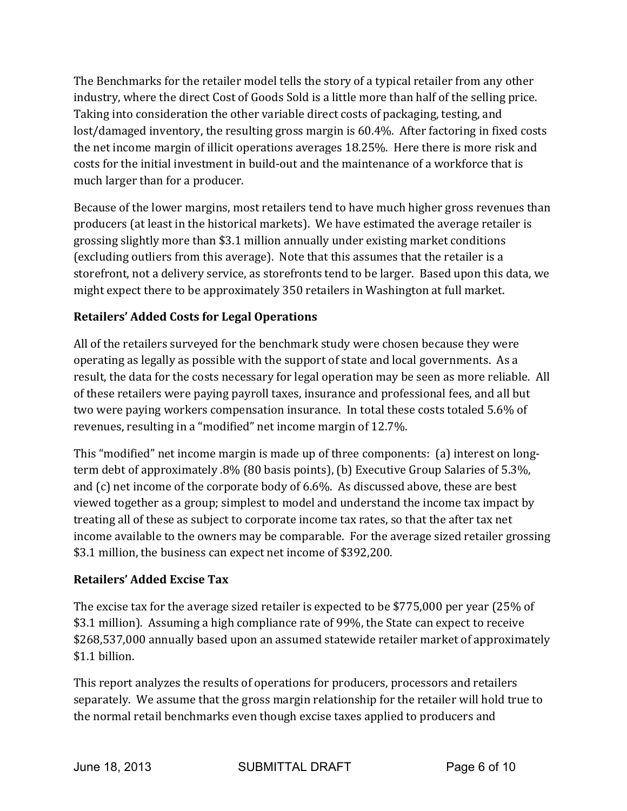The Benchmarks for the retailer model tells the story of a typical retailer from any other industry, where the direct Cost of Goods Sold is a little more than half of the selling price. Taking into consideration the other variable direct costs of packaging, testing, and lost/damaged inventory, the resulting gross margin is 60.4%. After factoring in fixed costs the net income margin of illicit operations averages  $18.25\%$ . Here there is more risk and costs for the initial investment in build-out and the maintenance of a workforce that is much larger than for a producer.

Because of the lower margins, most retailers tend to have much higher gross revenues than producers (at least in the historical markets). We have estimated the average retailer is grossing slightly more than \$3.1 million annually under existing market conditions (excluding outliers from this average). Note that this assumes that the retailer is a storefront, not a delivery service, as storefronts tend to be larger. Based upon this data, we might expect there to be approximately 350 retailers in Washington at full market.

# **Retailers' Added Costs for Legal Operations**

All of the retailers surveyed for the benchmark study were chosen because they were operating as legally as possible with the support of state and local governments. As a result, the data for the costs necessary for legal operation may be seen as more reliable. All of these retailers were paying payroll taxes, insurance and professional fees, and all but two were paying workers compensation insurance. In total these costs totaled 5.6% of revenues, resulting in a "modified" net income margin of 12.7%.

This "modified" net income margin is made up of three components: (a) interest on longterm debt of approximately .8% (80 basis points), (b) Executive Group Salaries of 5.3%, and  $(c)$  net income of the corporate body of 6.6%. As discussed above, these are best viewed together as a group; simplest to model and understand the income tax impact by treating all of these as subject to corporate income tax rates, so that the after tax net income available to the owners may be comparable. For the average sized retailer grossing \$3.1 million, the business can expect net income of \$392,200.

### **Retailers' Added Excise Tax**

The excise tax for the average sized retailer is expected to be \$775,000 per year (25% of \$3.1 million). Assuming a high compliance rate of 99%, the State can expect to receive \$268,537,000 annually based upon an assumed statewide retailer market of approximately \$1.1 billion.

This report analyzes the results of operations for producers, processors and retailers separately. We assume that the gross margin relationship for the retailer will hold true to the normal retail benchmarks even though excise taxes applied to producers and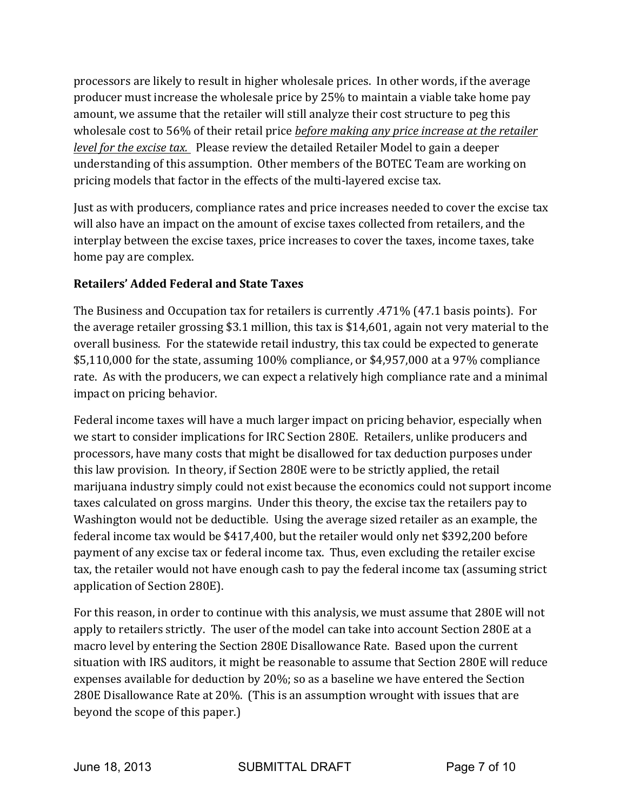processors are likely to result in higher wholesale prices. In other words, if the average producer must increase the wholesale price by 25% to maintain a viable take home pay amount, we assume that the retailer will still analyze their cost structure to peg this wholesale cost to 56% of their retail price *before making any price increase at the retailer level for the excise tax.* Please review the detailed Retailer Model to gain a deeper understanding of this assumption. Other members of the BOTEC Team are working on pricing models that factor in the effects of the multi-layered excise tax.

Just as with producers, compliance rates and price increases needed to cover the excise tax will also have an impact on the amount of excise taxes collected from retailers, and the interplay between the excise taxes, price increases to cover the taxes, income taxes, take home pay are complex.

### **Retailers' Added Federal and State Taxes**

The Business and Occupation tax for retailers is currently  $.471\%$  (47.1 basis points). For the average retailer grossing \$3.1 million, this tax is \$14,601, again not very material to the overall business. For the statewide retail industry, this tax could be expected to generate  $$5,110,000$  for the state, assuming  $100\%$  compliance, or \$4,957,000 at a 97% compliance rate. As with the producers, we can expect a relatively high compliance rate and a minimal impact on pricing behavior.

Federal income taxes will have a much larger impact on pricing behavior, especially when we start to consider implications for IRC Section 280E. Retailers, unlike producers and processors, have many costs that might be disallowed for tax deduction purposes under this law provision. In theory, if Section 280E were to be strictly applied, the retail marijuana industry simply could not exist because the economics could not support income taxes calculated on gross margins. Under this theory, the excise tax the retailers pay to Washington would not be deductible. Using the average sized retailer as an example, the federal income tax would be  $$417,400$ , but the retailer would only net \$392,200 before payment of any excise tax or federal income tax. Thus, even excluding the retailer excise tax, the retailer would not have enough cash to pay the federal income tax (assuming strict application of Section 280E).

For this reason, in order to continue with this analysis, we must assume that 280E will not apply to retailers strictly. The user of the model can take into account Section 280E at a macro level by entering the Section 280E Disallowance Rate. Based upon the current situation with IRS auditors, it might be reasonable to assume that Section 280E will reduce expenses available for deduction by 20%; so as a baseline we have entered the Section 280E Disallowance Rate at 20%. (This is an assumption wrought with issues that are beyond the scope of this paper.)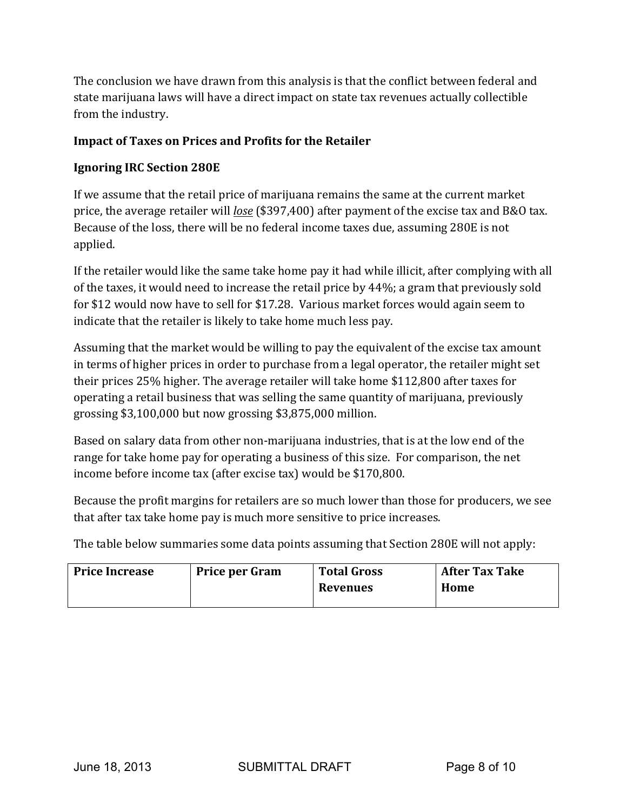The conclusion we have drawn from this analysis is that the conflict between federal and state marijuana laws will have a direct impact on state tax revenues actually collectible from the industry.

#### **Impact of Taxes on Prices and Profits for the Retailer**

#### **Ignoring IRC Section 280E**

If we assume that the retail price of marijuana remains the same at the current market price, the average retailer will *lose* (\$397,400) after payment of the excise tax and B&O tax. Because of the loss, there will be no federal income taxes due, assuming 280E is not applied.

If the retailer would like the same take home pay it had while illicit, after complying with all of the taxes, it would need to increase the retail price by  $44\%$ ; a gram that previously sold for \$12 would now have to sell for \$17.28. Various market forces would again seem to indicate that the retailer is likely to take home much less pay.

Assuming that the market would be willing to pay the equivalent of the excise tax amount in terms of higher prices in order to purchase from a legal operator, the retailer might set their prices 25% higher. The average retailer will take home \$112,800 after taxes for operating a retail business that was selling the same quantity of marijuana, previously grossing  $$3,100,000$  but now grossing  $$3,875,000$  million.

Based on salary data from other non-marijuana industries, that is at the low end of the range for take home pay for operating a business of this size. For comparison, the net income before income tax (after excise tax) would be \$170,800.

Because the profit margins for retailers are so much lower than those for producers, we see that after tax take home pay is much more sensitive to price increases.

The table below summaries some data points assuming that Section 280E will not apply:

| <b>Price Increase</b> | <b>Price per Gram</b> | <b>Total Gross</b> | <b>After Tax Take</b> |
|-----------------------|-----------------------|--------------------|-----------------------|
|                       |                       | Revenues           | Home                  |
|                       |                       |                    |                       |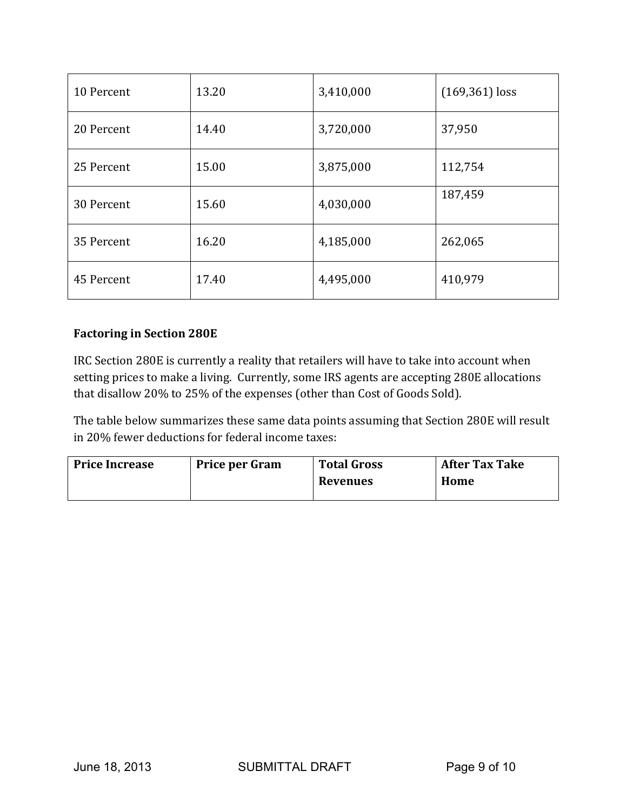| 10 Percent | 13.20 | 3,410,000 | $(169, 361)$ loss |
|------------|-------|-----------|-------------------|
| 20 Percent | 14.40 | 3,720,000 | 37,950            |
| 25 Percent | 15.00 | 3,875,000 | 112,754           |
| 30 Percent | 15.60 | 4,030,000 | 187,459           |
| 35 Percent | 16.20 | 4,185,000 | 262,065           |
| 45 Percent | 17.40 | 4,495,000 | 410,979           |

#### **Factoring in Section 280E**

IRC Section 280E is currently a reality that retailers will have to take into account when setting prices to make a living. Currently, some IRS agents are accepting 280E allocations that disallow 20% to 25% of the expenses (other than Cost of Goods Sold).

The table below summarizes these same data points assuming that Section 280E will result in 20% fewer deductions for federal income taxes:

| <b>Price Increase</b> | <b>Price per Gram</b> | <b>Total Gross</b> | <b>After Tax Take</b> |
|-----------------------|-----------------------|--------------------|-----------------------|
|                       |                       | <b>Revenues</b>    | Home                  |
|                       |                       |                    |                       |